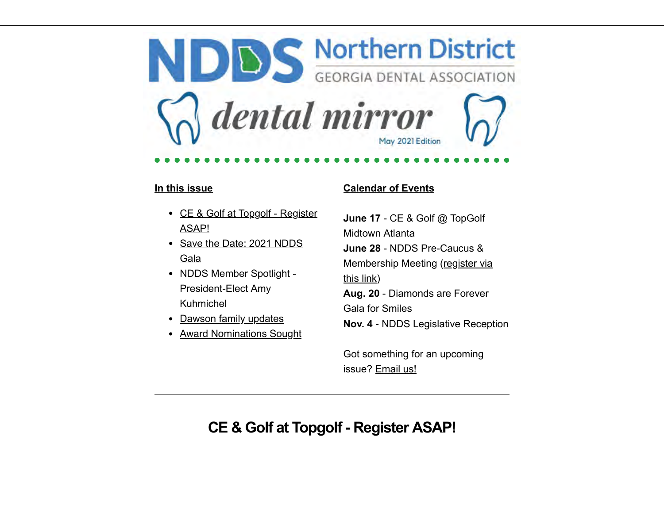NDDS Northern District dental mirror May 2021 Edition

#### **In this issue**

- [CE & Golf at Topgolf Register](#page-0-0) ASAP!
- [Save the Date: 2021 NDDS](#page-2-0) Gala
- [NDDS Member Spotlight -](#page-4-0) President-Elect Amy Kuhmichel
- [Dawson family updates](#page-6-0)
- A[ward Nominations Sought](#page-6-1)

### **Calendar of Events**

**June 17** - CE & Golf @ TopGolf Midtown Atlanta **June 28** - NDDS Pre-Caucus & [Membership Meeting \(register via](https://us02web.zoom.us/meeting/register/tZMkc-qrqTMrHNSTL_kQKUaTwRcpFsDrSrWo) this link) **Aug. 20** - Diamonds are Forever Gala for Smiles **Nov. 4** - NDDS Legislative Reception

Got something for an upcoming issue? [Email us!](mailto:carly@theassociationcompany.com?subject=NDDS%20Newsletter)

## <span id="page-0-0"></span>**CE & Golf at Topgolf - Register ASAP!**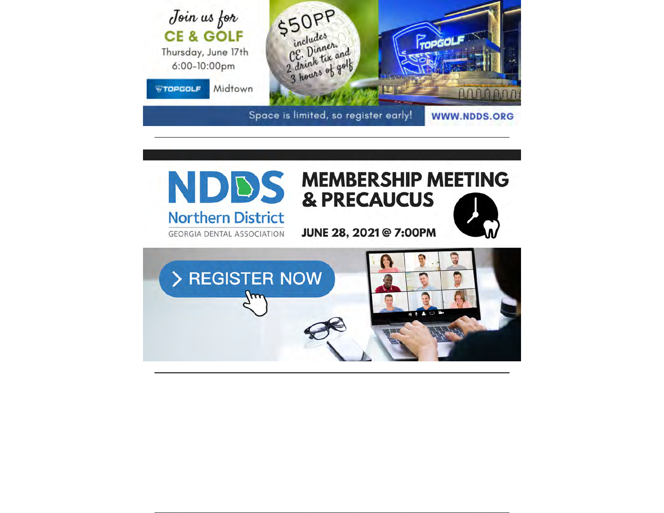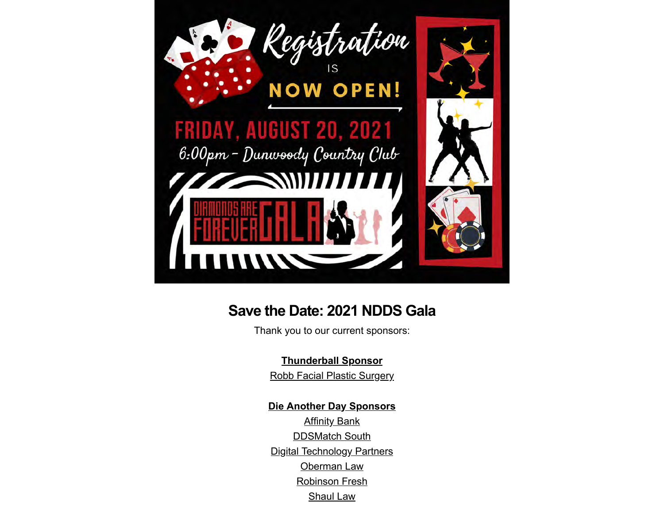

### <span id="page-2-0"></span>**Save the Date: 2021 NDDS Gala**

Thank you to our current sponsors:

### **Thunderball Sponsor**

[Robb Facial Plastic Surgery](https://www.robbfacialplastics.com/)

### **Die Another Day Sponsors**

**[Affinity Bank](https://myaffinitybank.com/)** [DDSMatch South](https://ddsmatchsouth.com/) [Digital Technology Partners](https://www.dtpartners.com/) [Oberman Law](https://obermanlaw.com/) [Robinson Fresh](https://www.robinsonfresh.com/) [Shaul Law](https://shaullaw.com/)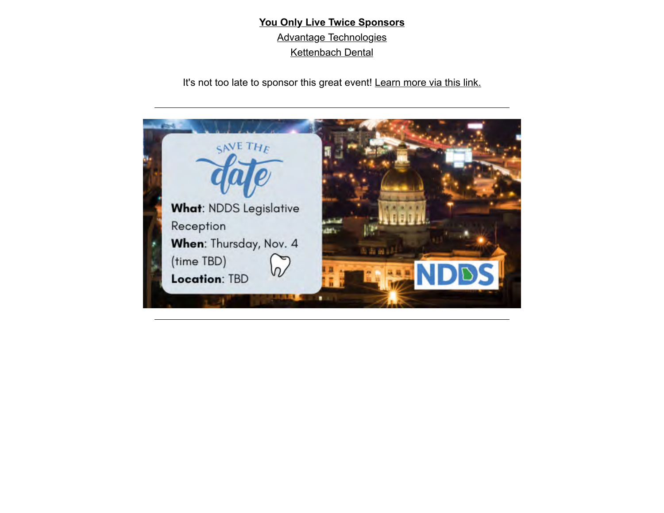**You Only Live Twice Sponsors** [Advantage Technologies](https://www.adv-tech.com/) [Kettenbach Dental](https://www.kettenbach-dental.us/start/)

It's not too late to sponsor this great event! [Learn more via this link.](https://www.ndds.org/foundation/gala)

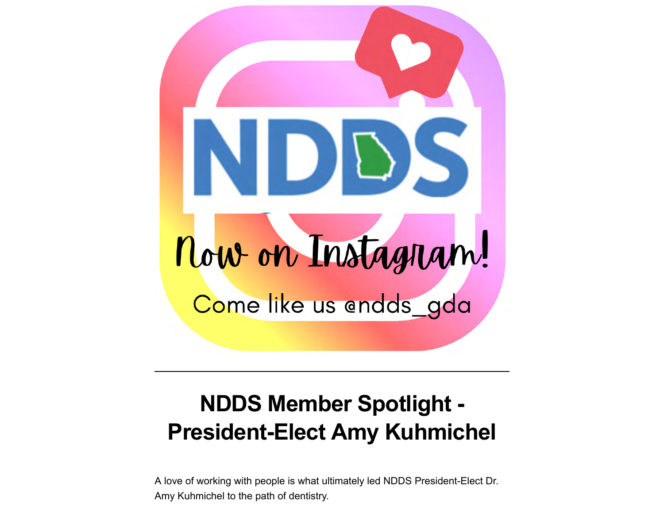

# <span id="page-4-0"></span>**NDDS Member Spotlight - President-Elect Amy Kuhmichel**

A love of working with people is what ultimately led NDDS President-Elect Dr. Amy Kuhmichel to the path of dentistry.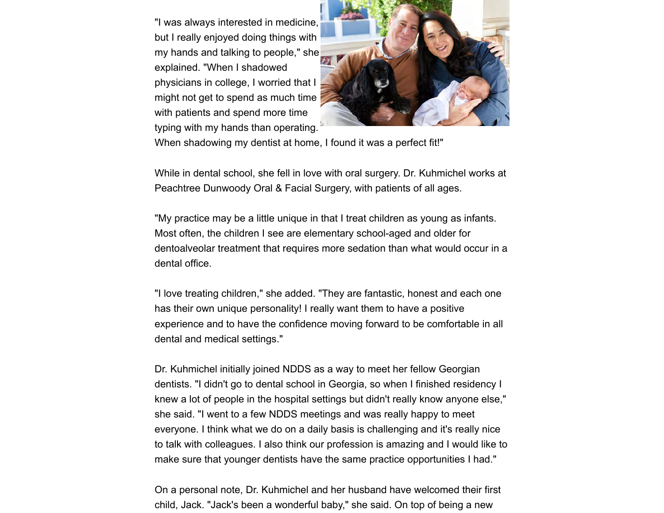"I was always interested in medicine, but I really enjoyed doing things with my hands and talking to people," she explained. "When I shadowed physicians in college, I worried that I might not get to spend as much time with patients and spend more time typing with my hands than operating.



When shadowing my dentist at home, I found it was a perfect fit!"

While in dental school, she fell in love with oral surgery. Dr. Kuhmichel works at Peachtree Dunwoody Oral & Facial Surgery, with patients of all ages.

"My practice may be a little unique in that I treat children as young as infants. Most often, the children I see are elementary school-aged and older for dentoalveolar treatment that requires more sedation than what would occur in a dental office.

"I love treating children," she added. "They are fantastic, honest and each one has their own unique personality! I really want them to have a positive experience and to have the confidence moving forward to be comfortable in all dental and medical settings."

Dr. Kuhmichel initially joined NDDS as a way to meet her fellow Georgian dentists. "I didn't go to dental school in Georgia, so when I finished residency I knew a lot of people in the hospital settings but didn't really know anyone else," she said. "I went to a few NDDS meetings and was really happy to meet everyone. I think what we do on a daily basis is challenging and it's really nice to talk with colleagues. I also think our profession is amazing and I would like to make sure that younger dentists have the same practice opportunities I had."

On a personal note, Dr. Kuhmichel and her husband have welcomed their first child, Jack. "Jack's been a wonderful baby," she said. On top of being a new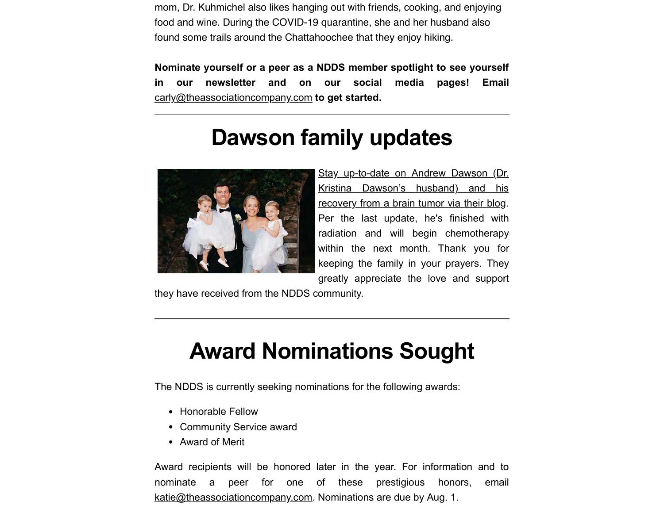mom, Dr. Kuhmichel also likes hanging out with friends, cooking, and enjoying food and wine. During the COVID-19 quarantine, she and her husband also found some trails around the Chattahoochee that they enjoy hiking.

**Nominate yourself or a peer as a NDDS member spotlight to see yourself in our newsletter and on our social media pages! Email** [carly@theassociationcompany.com](mailto:carly@theassociationcompany.com?subject=NDDS%20Member%20Spotlight) **to get started.**

## **Dawson family updates**

<span id="page-6-0"></span>

[Stay up-to-date on Andrew Dawson \(Dr.](https://dawsonandrew.wordpress.com/about/) Kristina Dawson's husband) and his recovery from a brain tumor via their blog. Per the last update, he's finished with radiation and will begin chemotherapy within the next month. Thank you for keeping the family in your prayers. They greatly appreciate the love and support

they have received from the NDDS community.

# <span id="page-6-1"></span>**Award Nominations Sought**

The NDDS is currently seeking nominations for the following awards:

- Honorable Fellow
- Community Service award
- Award of Merit

Award recipients will be honored later in the year. For information and to nominate a peer for one of these prestigious honors, email [katie@theassociationcompany.com.](mailto:katie@theassociationcompany.com?subject=NDDS%20Award%20Nominations) Nominations are due by Aug. 1.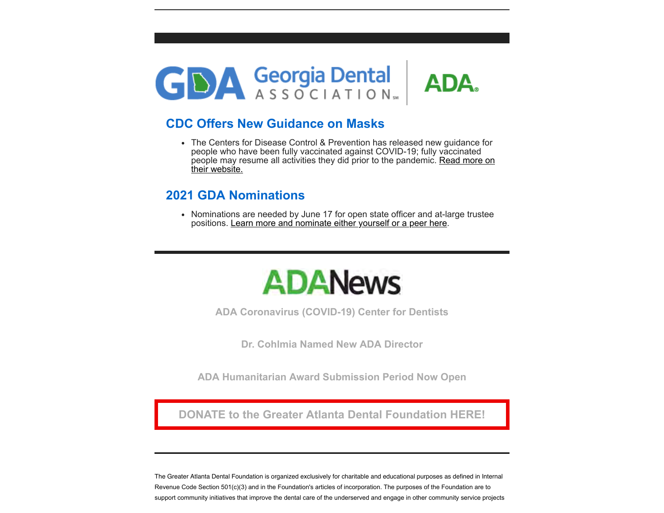

### **CDC Offers New Guidance on Masks**

The Centers for Disease Control & Prevention has released new guidance for people who have been fully vaccinated against COVID-19; fully vaccinated [people may resume all activities they did prior to the pandemic. Read more on](https://www.cdc.gov/coronavirus/2019-ncov/vaccines/fully-vaccinated.html) their website.

### **2021 GDA Nominations**

Nominations are needed by June 17 for open state officer and at-large trustee positions. [Learn more and nominate either yourself or a peer here](https://www.gadental.org/member-services/leadership-resources/gdanominations).



**[ADA Coronavirus \(COVID-19\) Center for Dentists](https://success.ada.org/en/practice-management/patients/infectious-diseases-2019-novel-coronavirus?utm_source=adaorg&utm_medium=globalheader&utm_content=coronavirus&utm_campaign=covid-19)**

**[Dr. Cohlmia Named New ADA Director](https://www.ada.org/en/publications/ada-news/2021-archive/may/ada-names-dr-raymond-cohlmia-as-new-executive-director)**

**[ADA Humanitarian Award Submission Period Now Open](https://www.ada.org/en/publications/ada-news/2021-archive/may/ada-humanitarian-award-submission-period-open)**

**[DONATE to the Greater Atlanta Dental Foundation HERE!](https://ndds.123signup.com/event/details/rkvpz)**

The Greater Atlanta Dental Foundation is organized exclusively for charitable and educational purposes as defined in Internal Revenue Code Section 501(c)(3) and in the Foundation's articles of incorporation. The purposes of the Foundation are to support community initiatives that improve the dental care of the underserved and engage in other community service projects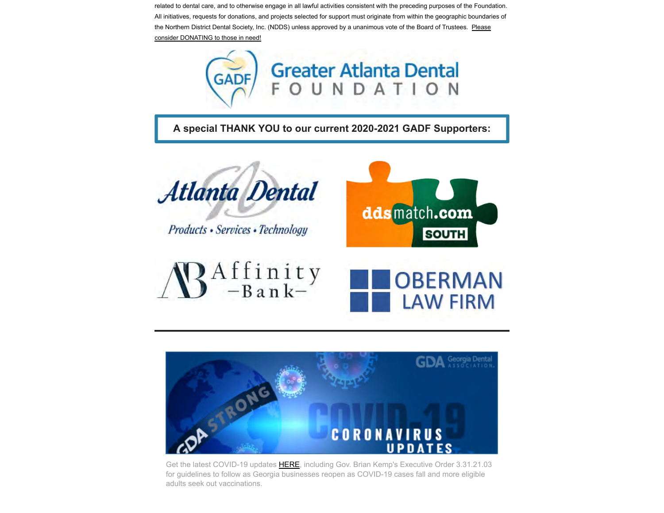related to dental care, and to otherwise engage in all lawful activities consistent with the preceding purposes of the Foundation. All initiatives, requests for donations, and projects selected for support must originate from within the geographic boundaries of [the Northern District Dental Society, Inc. \(NDDS\) unless approved by a unanimous vote of the Board of T](https://ndds.123signup.com/event/details/rkvpz)rustees. Please consider DONATING to those in need!



**[A special THANK YOU to our current 2020-2021 GADF Supporters:](https://us8.campaign-archive.com/?u=9bc1922b1a029686b0b5a39d6&id=ec235a3d15)**



Products • Services • Technology









Get the latest COVID-19 updates [HERE,](https://www.gadental.org/coronavirus) including Gov. Brian Kemp's Executive Order 3.31.21.03 for guidelines to follow as Georgia businesses reopen as COVID-19 cases fall and more eligible adults seek out vaccinations.